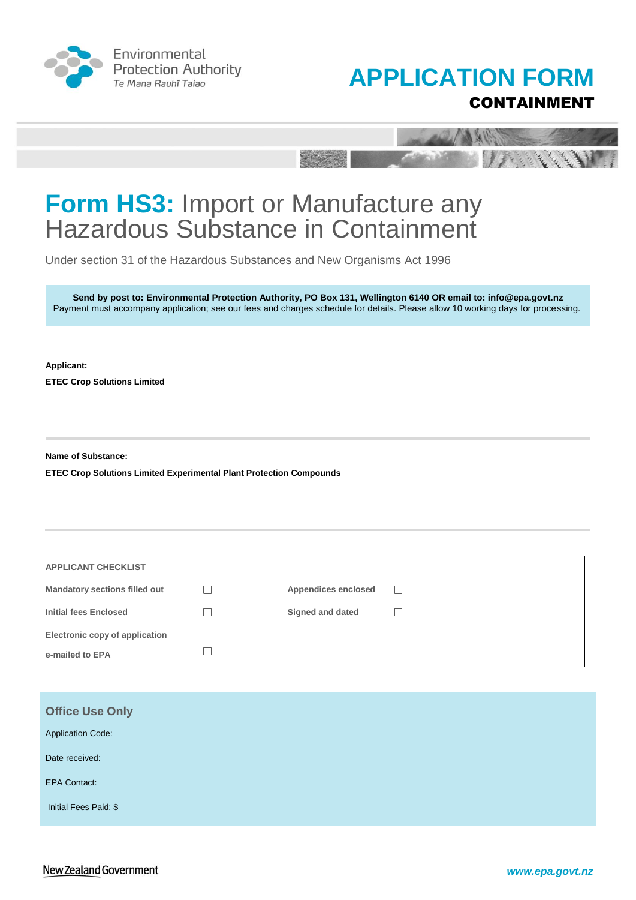





# **Form HS3:** Import or Manufacture any Hazardous Substance in Containment

Under section 31 of the Hazardous Substances and New Organisms Act 1996

**Send by post to: Environmental Protection Authority, PO Box 131, Wellington 6140 OR email to: info@epa.govt.nz** Payment must accompany application; see our fees and charges schedule for details. Please allow 10 working days for processing.

**Applicant:**

**ETEC Crop Solutions Limited**

**Name of Substance:**

**ETEC Crop Solutions Limited Experimental Plant Protection Compounds**

| <b>APPLICANT CHECKLIST</b>           |                         |   |
|--------------------------------------|-------------------------|---|
| <b>Mandatory sections filled out</b> | Appendices enclosed     | H |
| <b>Initial fees Enclosed</b>         | <b>Signed and dated</b> |   |
| Electronic copy of application       |                         |   |
| e-mailed to EPA                      |                         |   |
|                                      |                         |   |

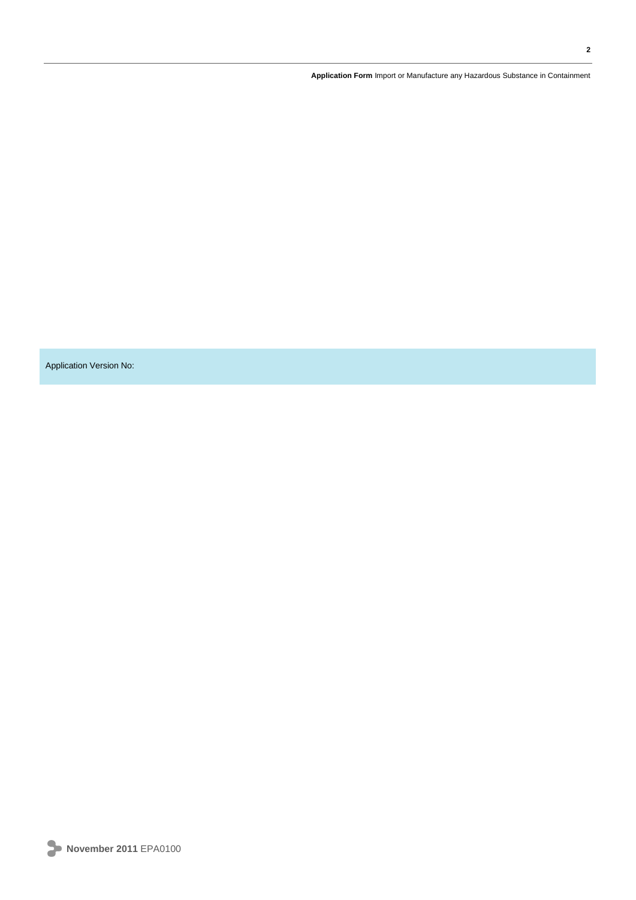Application Version No: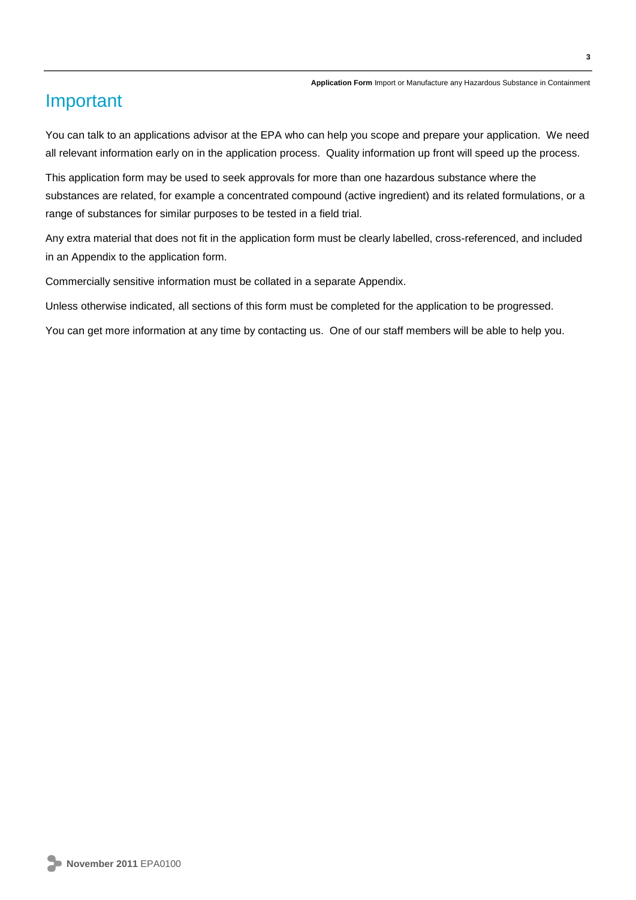## Important

You can talk to an applications advisor at the EPA who can help you scope and prepare your application. We need all relevant information early on in the application process. Quality information up front will speed up the process.

This application form may be used to seek approvals for more than one hazardous substance where the substances are related, for example a concentrated compound (active ingredient) and its related formulations, or a range of substances for similar purposes to be tested in a field trial.

Any extra material that does not fit in the application form must be clearly labelled, cross-referenced, and included in an Appendix to the application form.

Commercially sensitive information must be collated in a separate Appendix.

Unless otherwise indicated, all sections of this form must be completed for the application to be progressed.

You can get more information at any time by contacting us. One of our staff members will be able to help you.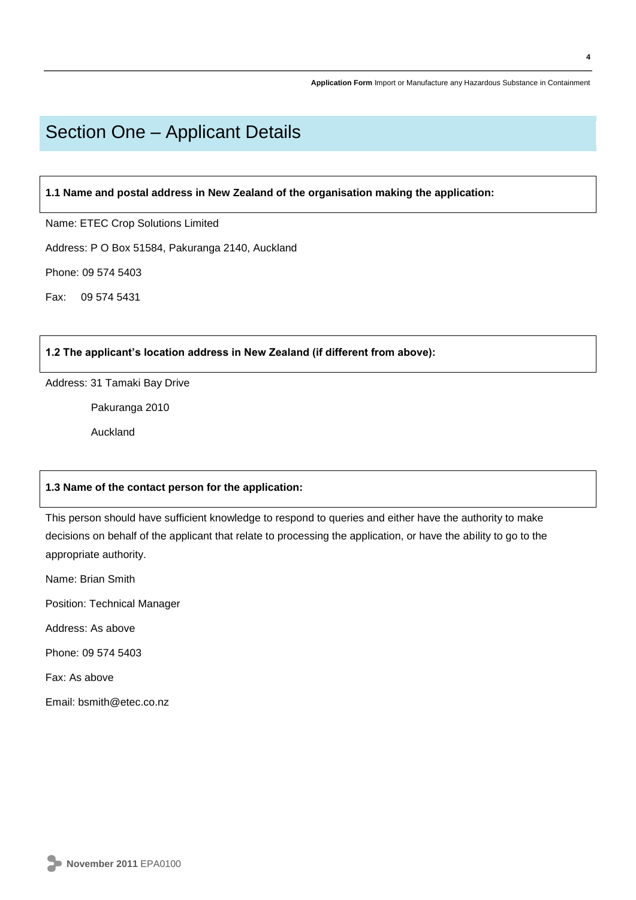## Section One – Applicant Details

**1.1 Name and postal address in New Zealand of the organisation making the application:**

Name: ETEC Crop Solutions Limited

Address: P O Box 51584, Pakuranga 2140, Auckland

Phone: 09 574 5403

Fax: 09 574 5431

### **1.2 The applicant's location address in New Zealand (if different from above):**

Address: 31 Tamaki Bay Drive

Pakuranga 2010

Auckland

## **1.3 Name of the contact person for the application:**

This person should have sufficient knowledge to respond to queries and either have the authority to make decisions on behalf of the applicant that relate to processing the application, or have the ability to go to the appropriate authority.

Name: Brian Smith

Position: Technical Manager

Address: As above

Phone: 09 574 5403

Fax: As above

Email: bsmith@etec.co.nz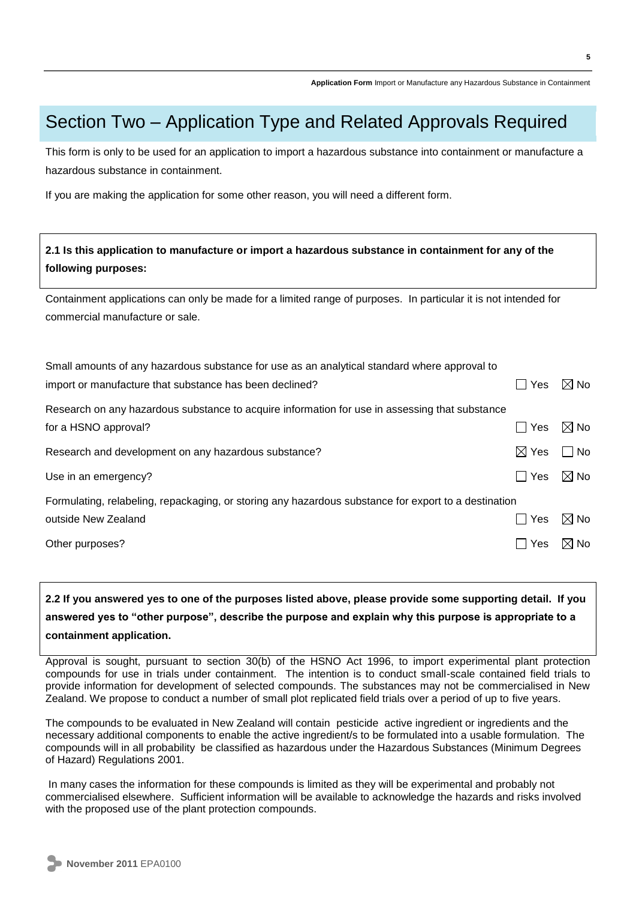## Section Two – Application Type and Related Approvals Required

This form is only to be used for an application to import a hazardous substance into containment or manufacture a hazardous substance in containment.

If you are making the application for some other reason, you will need a different form.

## **2.1 Is this application to manufacture or import a hazardous substance in containment for any of the following purposes:**

Containment applications can only be made for a limited range of purposes. In particular it is not intended for commercial manufacture or sale.

| Small amounts of any hazardous substance for use as an analytical standard where approval to         |                 |                |
|------------------------------------------------------------------------------------------------------|-----------------|----------------|
| import or manufacture that substance has been declined?                                              | Yes             | $\boxtimes$ No |
| Research on any hazardous substance to acquire information for use in assessing that substance       |                 |                |
| for a HSNO approval?                                                                                 | Yes             | $\boxtimes$ No |
| Research and development on any hazardous substance?                                                 | $\boxtimes$ Yes | $\Box$ No      |
| Use in an emergency?                                                                                 | ∏ Yes           | $\boxtimes$ No |
| Formulating, relabeling, repackaging, or storing any hazardous substance for export to a destination |                 |                |
| outside New Zealand                                                                                  | Yes             | $\boxtimes$ No |
| Other purposes?                                                                                      | Yes             | $\boxtimes$ No |

**2.2 If you answered yes to one of the purposes listed above, please provide some supporting detail. If you answered yes to "other purpose", describe the purpose and explain why this purpose is appropriate to a containment application.**

Approval is sought, pursuant to section 30(b) of the HSNO Act 1996, to import experimental plant protection compounds for use in trials under containment. The intention is to conduct small-scale contained field trials to provide information for development of selected compounds. The substances may not be commercialised in New Zealand. We propose to conduct a number of small plot replicated field trials over a period of up to five years.

The compounds to be evaluated in New Zealand will contain pesticide active ingredient or ingredients and the necessary additional components to enable the active ingredient/s to be formulated into a usable formulation. The compounds will in all probability be classified as hazardous under the Hazardous Substances (Minimum Degrees of Hazard) Regulations 2001.

In many cases the information for these compounds is limited as they will be experimental and probably not commercialised elsewhere. Sufficient information will be available to acknowledge the hazards and risks involved with the proposed use of the plant protection compounds.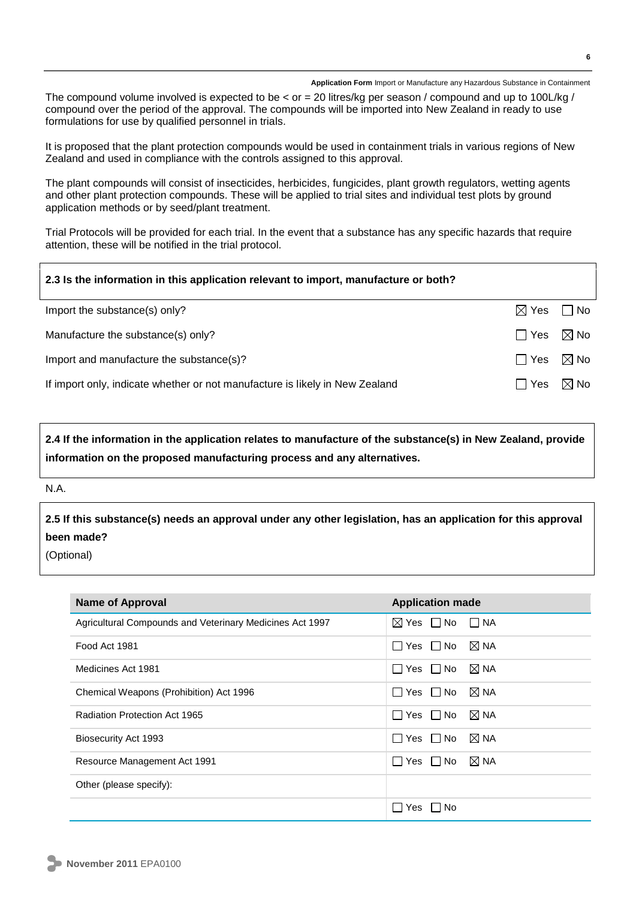The compound volume involved is expected to be < or = 20 litres/kg per season / compound and up to 100L/kg / compound over the period of the approval. The compounds will be imported into New Zealand in ready to use formulations for use by qualified personnel in trials.

It is proposed that the plant protection compounds would be used in containment trials in various regions of New Zealand and used in compliance with the controls assigned to this approval.

The plant compounds will consist of insecticides, herbicides, fungicides, plant growth regulators, wetting agents and other plant protection compounds. These will be applied to trial sites and individual test plots by ground application methods or by seed/plant treatment.

Trial Protocols will be provided for each trial. In the event that a substance has any specific hazards that require attention, these will be notified in the trial protocol.

| 2.3 Is the information in this application relevant to import, manufacture or both? |                 |                |  |
|-------------------------------------------------------------------------------------|-----------------|----------------|--|
| Import the substance(s) only?                                                       | $\boxtimes$ Yes | l INo          |  |
| Manufacture the substance(s) only?                                                  | $\Box$ Yes      | $\boxtimes$ No |  |
| Import and manufacture the substance(s)?                                            | $\Box$ Yes      | $\boxtimes$ No |  |
| If import only, indicate whether or not manufacture is likely in New Zealand        | Yes             | $\boxtimes$ No |  |

**2.4 If the information in the application relates to manufacture of the substance(s) in New Zealand, provide information on the proposed manufacturing process and any alternatives.**

N.A.

**2.5 If this substance(s) needs an approval under any other legislation, has an application for this approval been made?**

(Optional)

| <b>Name of Approval</b>                                  | <b>Application made</b>                    |
|----------------------------------------------------------|--------------------------------------------|
| Agricultural Compounds and Veterinary Medicines Act 1997 | $\boxtimes$ Yes $\Box$ No<br>$\Box$ NA     |
| Food Act 1981                                            | $\boxtimes$ NA<br>∏Yes ∏No                 |
| Medicines Act 1981                                       | $\boxtimes$ NA<br>Yes IINo<br>$\mathbf{1}$ |
| Chemical Weapons (Prohibition) Act 1996                  | $\boxtimes$ NA<br>∏Yes ∏No                 |
| Radiation Protection Act 1965                            | $\boxtimes$ NA<br>No Nes No                |
| Biosecurity Act 1993                                     | $\boxtimes$ NA<br>$\Box$ Yes $\Box$ No     |
| Resource Management Act 1991                             | $\boxtimes$ NA<br>Yes INo<br>$\mathbf{1}$  |
| Other (please specify):                                  |                                            |
|                                                          | No<br>Yes                                  |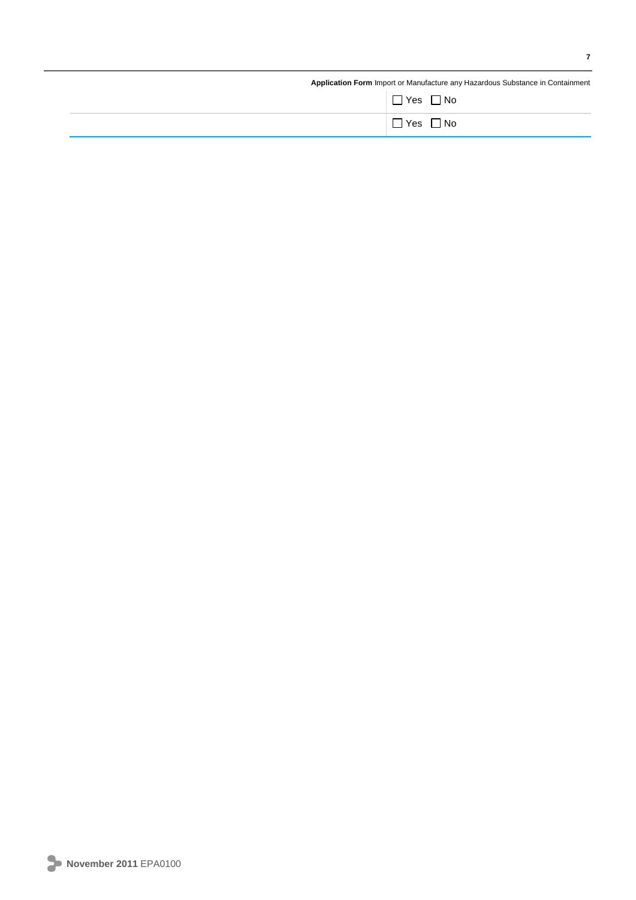|                      | Application Form Import or Manufacture any Hazardous Substance in Containment |
|----------------------|-------------------------------------------------------------------------------|
| $\Box$ Yes $\Box$ No |                                                                               |
| $\Box$ Yes $\Box$ No |                                                                               |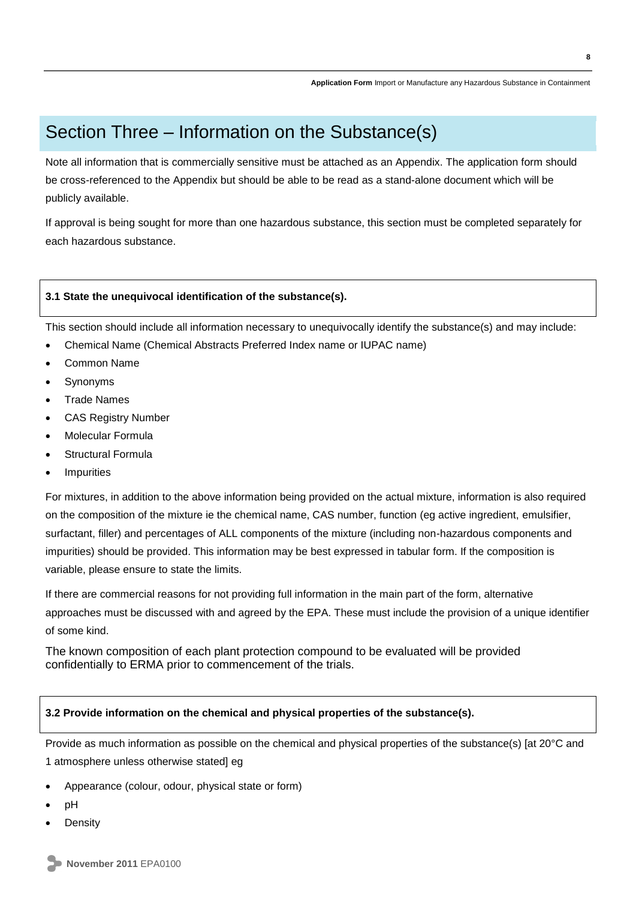## Section Three – Information on the Substance(s)

Note all information that is commercially sensitive must be attached as an Appendix. The application form should be cross-referenced to the Appendix but should be able to be read as a stand-alone document which will be publicly available.

If approval is being sought for more than one hazardous substance, this section must be completed separately for each hazardous substance.

## **3.1 State the unequivocal identification of the substance(s).**

This section should include all information necessary to unequivocally identify the substance(s) and may include:

- Chemical Name (Chemical Abstracts Preferred Index name or IUPAC name)
- Common Name
- Synonyms
- Trade Names
- CAS Registry Number
- Molecular Formula
- Structural Formula
- **•** Impurities

For mixtures, in addition to the above information being provided on the actual mixture, information is also required on the composition of the mixture ie the chemical name, CAS number, function (eg active ingredient, emulsifier, surfactant, filler) and percentages of ALL components of the mixture (including non-hazardous components and impurities) should be provided. This information may be best expressed in tabular form. If the composition is variable, please ensure to state the limits.

If there are commercial reasons for not providing full information in the main part of the form, alternative approaches must be discussed with and agreed by the EPA. These must include the provision of a unique identifier of some kind.

The known composition of each plant protection compound to be evaluated will be provided confidentially to ERMA prior to commencement of the trials.

## **3.2 Provide information on the chemical and physical properties of the substance(s).**

Provide as much information as possible on the chemical and physical properties of the substance(s) [at 20°C and 1 atmosphere unless otherwise stated] eg

- Appearance (colour, odour, physical state or form)
- pH
- **Density**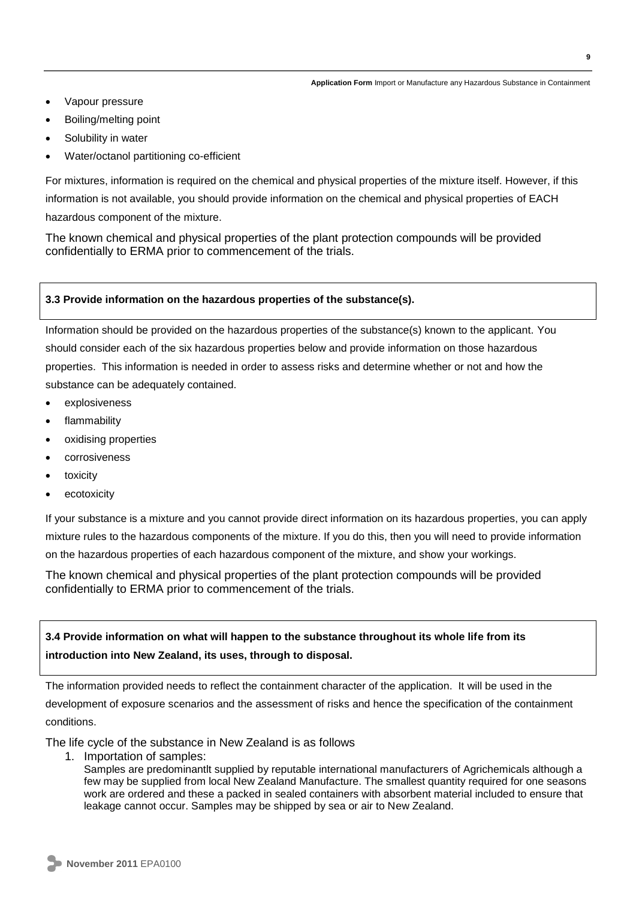- Vapour pressure
- Boiling/melting point
- Solubility in water
- Water/octanol partitioning co-efficient

For mixtures, information is required on the chemical and physical properties of the mixture itself. However, if this information is not available, you should provide information on the chemical and physical properties of EACH hazardous component of the mixture.

The known chemical and physical properties of the plant protection compounds will be provided confidentially to ERMA prior to commencement of the trials.

## **3.3 Provide information on the hazardous properties of the substance(s).**

Information should be provided on the hazardous properties of the substance(s) known to the applicant. You should consider each of the six hazardous properties below and provide information on those hazardous properties. This information is needed in order to assess risks and determine whether or not and how the substance can be adequately contained.

- explosiveness
- flammability
- oxidising properties
- corrosiveness
- toxicity
- ecotoxicity

If your substance is a mixture and you cannot provide direct information on its hazardous properties, you can apply mixture rules to the hazardous components of the mixture. If you do this, then you will need to provide information on the hazardous properties of each hazardous component of the mixture, and show your workings.

The known chemical and physical properties of the plant protection compounds will be provided confidentially to ERMA prior to commencement of the trials.

## **3.4 Provide information on what will happen to the substance throughout its whole life from its introduction into New Zealand, its uses, through to disposal.**

The information provided needs to reflect the containment character of the application. It will be used in the

development of exposure scenarios and the assessment of risks and hence the specification of the containment conditions.

The life cycle of the substance in New Zealand is as follows

- 1. Importation of samples:
	- Samples are predominantlt supplied by reputable international manufacturers of Agrichemicals although a few may be supplied from local New Zealand Manufacture. The smallest quantity required for one seasons work are ordered and these a packed in sealed containers with absorbent material included to ensure that leakage cannot occur. Samples may be shipped by sea or air to New Zealand.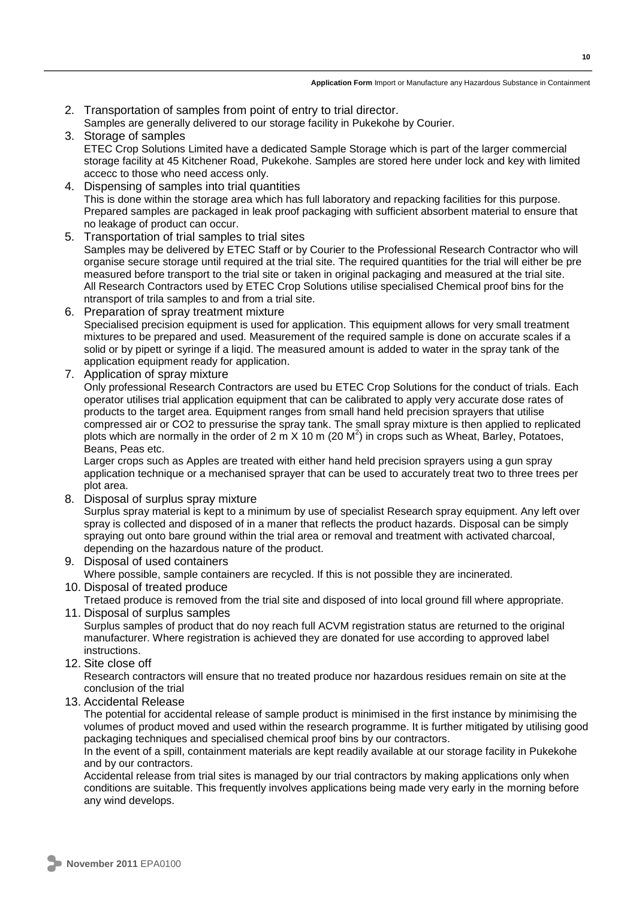- 2. Transportation of samples from point of entry to trial director. Samples are generally delivered to our storage facility in Pukekohe by Courier.
- 3. Storage of samples ETEC Crop Solutions Limited have a dedicated Sample Storage which is part of the larger commercial storage facility at 45 Kitchener Road, Pukekohe. Samples are stored here under lock and key with limited accecc to those who need access only.
- 4. Dispensing of samples into trial quantities This is done within the storage area which has full laboratory and repacking facilities for this purpose. Prepared samples are packaged in leak proof packaging with sufficient absorbent material to ensure that no leakage of product can occur.
- 5. Transportation of trial samples to trial sites Samples may be delivered by ETEC Staff or by Courier to the Professional Research Contractor who will organise secure storage until required at the trial site. The required quantities for the trial will either be pre measured before transport to the trial site or taken in original packaging and measured at the trial site. All Research Contractors used by ETEC Crop Solutions utilise specialised Chemical proof bins for the ntransport of trila samples to and from a trial site.
- 6. Preparation of spray treatment mixture Specialised precision equipment is used for application. This equipment allows for very small treatment mixtures to be prepared and used. Measurement of the required sample is done on accurate scales if a solid or by pipett or syringe if a liqid. The measured amount is added to water in the spray tank of the application equipment ready for application.
- 7. Application of spray mixture

Only professional Research Contractors are used bu ETEC Crop Solutions for the conduct of trials. Each operator utilises trial application equipment that can be calibrated to apply very accurate dose rates of products to the target area. Equipment ranges from small hand held precision sprayers that utilise compressed air or CO2 to pressurise the spray tank. The small spray mixture is then applied to replicated plots which are normally in the order of 2 m  $\times$  10 m (20 M<sup>2</sup>) in crops such as Wheat, Barley, Potatoes, Beans, Peas etc.

Larger crops such as Apples are treated with either hand held precision sprayers using a gun spray application technique or a mechanised sprayer that can be used to accurately treat two to three trees per plot area.

8. Disposal of surplus spray mixture

Surplus spray material is kept to a minimum by use of specialist Research spray equipment. Any left over spray is collected and disposed of in a maner that reflects the product hazards. Disposal can be simply spraying out onto bare ground within the trial area or removal and treatment with activated charcoal, depending on the hazardous nature of the product.

- 9. Disposal of used containers Where possible, sample containers are recycled. If this is not possible they are incinerated.
- 10. Disposal of treated produce

Tretaed produce is removed from the trial site and disposed of into local ground fill where appropriate. 11. Disposal of surplus samples

Surplus samples of product that do noy reach full ACVM registration status are returned to the original manufacturer. Where registration is achieved they are donated for use according to approved label instructions.

12. Site close off

Research contractors will ensure that no treated produce nor hazardous residues remain on site at the conclusion of the trial

13. Accidental Release

The potential for accidental release of sample product is minimised in the first instance by minimising the volumes of product moved and used within the research programme. It is further mitigated by utilising good packaging techniques and specialised chemical proof bins by our contractors.

In the event of a spill, containment materials are kept readily available at our storage facility in Pukekohe and by our contractors.

Accidental release from trial sites is managed by our trial contractors by making applications only when conditions are suitable. This frequently involves applications being made very early in the morning before any wind develops.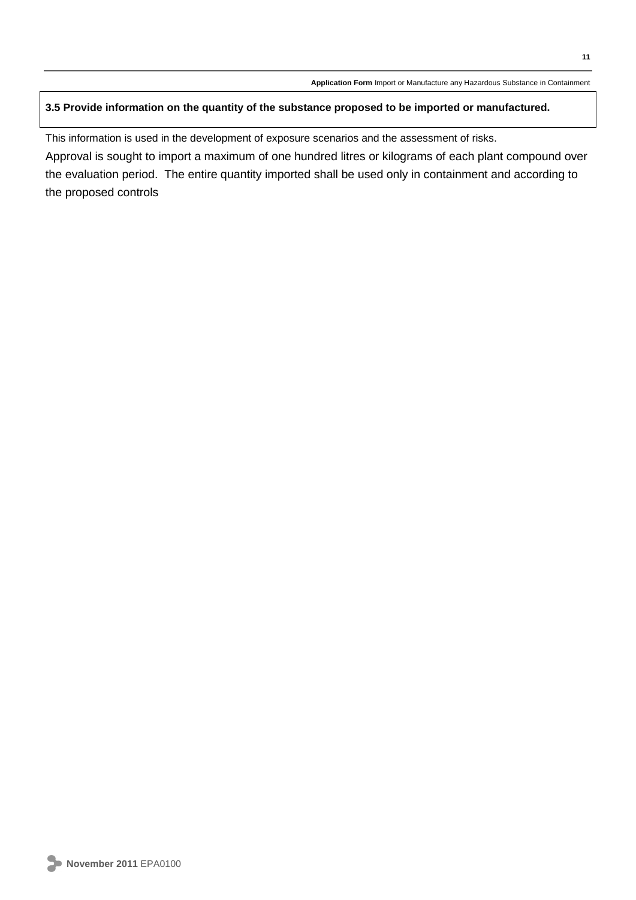## **3.5 Provide information on the quantity of the substance proposed to be imported or manufactured.**

This information is used in the development of exposure scenarios and the assessment of risks.

Approval is sought to import a maximum of one hundred litres or kilograms of each plant compound over the evaluation period. The entire quantity imported shall be used only in containment and according to the proposed controls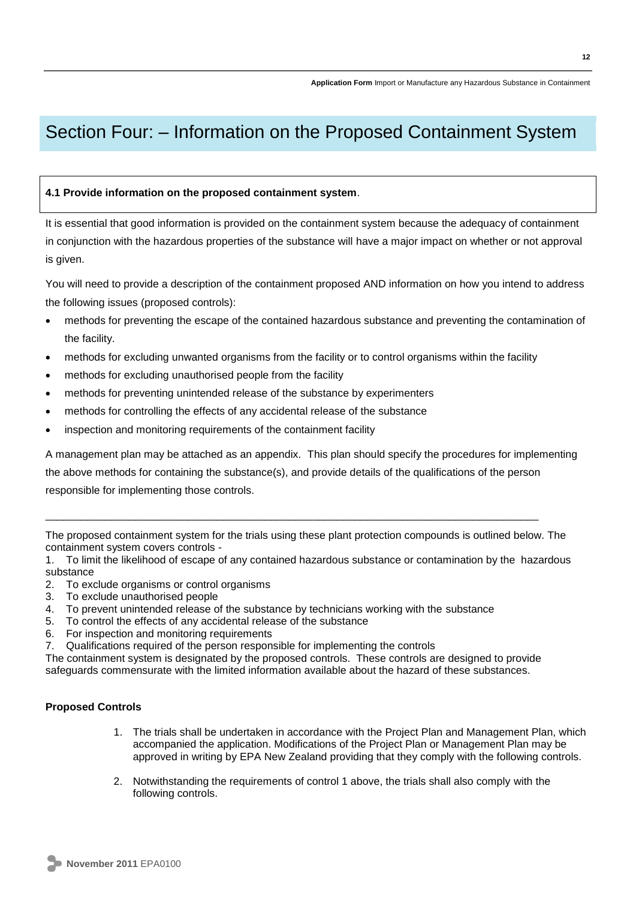## Section Four: – Information on the Proposed Containment System

### **4.1 Provide information on the proposed containment system**.

It is essential that good information is provided on the containment system because the adequacy of containment in conjunction with the hazardous properties of the substance will have a major impact on whether or not approval is given.

You will need to provide a description of the containment proposed AND information on how you intend to address the following issues (proposed controls):

- methods for preventing the escape of the contained hazardous substance and preventing the contamination of the facility.
- methods for excluding unwanted organisms from the facility or to control organisms within the facility
- methods for excluding unauthorised people from the facility
- methods for preventing unintended release of the substance by experimenters
- methods for controlling the effects of any accidental release of the substance
- inspection and monitoring requirements of the containment facility

A management plan may be attached as an appendix. This plan should specify the procedures for implementing the above methods for containing the substance(s), and provide details of the qualifications of the person responsible for implementing those controls.

\_\_\_\_\_\_\_\_\_\_\_\_\_\_\_\_\_\_\_\_\_\_\_\_\_\_\_\_\_\_\_\_\_\_\_\_\_\_\_\_\_\_\_\_\_\_\_\_\_\_\_\_\_\_\_\_\_\_\_\_\_\_\_\_\_\_\_\_\_\_\_\_\_\_\_\_\_\_\_\_\_\_\_

1. To limit the likelihood of escape of any contained hazardous substance or contamination by the hazardous substance

- 2. To exclude organisms or control organisms
- 3. To exclude unauthorised people
- 4. To prevent unintended release of the substance by technicians working with the substance
- 5. To control the effects of any accidental release of the substance
- 6. For inspection and monitoring requirements
- 7. Qualifications required of the person responsible for implementing the controls

The containment system is designated by the proposed controls. These controls are designed to provide safeguards commensurate with the limited information available about the hazard of these substances.

### **Proposed Controls**

- 1. The trials shall be undertaken in accordance with the Project Plan and Management Plan, which accompanied the application. Modifications of the Project Plan or Management Plan may be approved in writing by EPA New Zealand providing that they comply with the following controls.
- 2. Notwithstanding the requirements of control 1 above, the trials shall also comply with the following controls.

The proposed containment system for the trials using these plant protection compounds is outlined below. The containment system covers controls -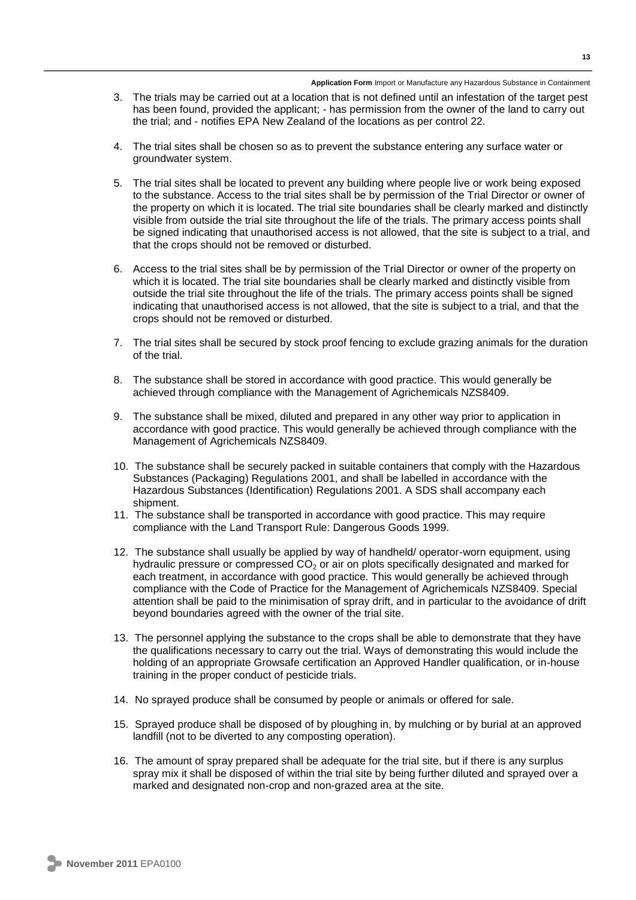- 3. The trials may be carried out at a location that is not defined until an infestation of the target pest has been found, provided the applicant; - has permission from the owner of the land to carry out the trial; and - notifies EPA New Zealand of the locations as per control 22.
- 4. The trial sites shall be chosen so as to prevent the substance entering any surface water or groundwater system.
- 5. The trial sites shall be located to prevent any building where people live or work being exposed to the substance. Access to the trial sites shall be by permission of the Trial Director or owner of the property on which it is located. The trial site boundaries shall be clearly marked and distinctly visible from outside the trial site throughout the life of the trials. The primary access points shall be signed indicating that unauthorised access is not allowed, that the site is subject to a trial, and that the crops should not be removed or disturbed.
- 6. Access to the trial sites shall be by permission of the Trial Director or owner of the property on which it is located. The trial site boundaries shall be clearly marked and distinctly visible from outside the trial site throughout the life of the trials. The primary access points shall be signed indicating that unauthorised access is not allowed, that the site is subject to a trial, and that the crops should not be removed or disturbed.
- 7. The trial sites shall be secured by stock proof fencing to exclude grazing animals for the duration of the trial.
- 8. The substance shall be stored in accordance with good practice. This would generally be achieved through compliance with the Management of Agrichemicals NZS8409.
- 9. The substance shall be mixed, diluted and prepared in any other way prior to application in accordance with good practice. This would generally be achieved through compliance with the Management of Agrichemicals NZS8409.
- 10. The substance shall be securely packed in suitable containers that comply with the Hazardous Substances (Packaging) Regulations 2001, and shall be labelled in accordance with the Hazardous Substances (Identification) Regulations 2001. A SDS shall accompany each shipment.
- 11. The substance shall be transported in accordance with good practice. This may require compliance with the Land Transport Rule: Dangerous Goods 1999.
- 12. The substance shall usually be applied by way of handheld/ operator-worn equipment, using hydraulic pressure or compressed  $CO<sub>2</sub>$  or air on plots specifically designated and marked for each treatment, in accordance with good practice. This would generally be achieved through compliance with the Code of Practice for the Management of Agrichemicals NZS8409. Special attention shall be paid to the minimisation of spray drift, and in particular to the avoidance of drift beyond boundaries agreed with the owner of the trial site.
- 13. The personnel applying the substance to the crops shall be able to demonstrate that they have the qualifications necessary to carry out the trial. Ways of demonstrating this would include the holding of an appropriate Growsafe certification an Approved Handler qualification, or in-house training in the proper conduct of pesticide trials.
- 14. No sprayed produce shall be consumed by people or animals or offered for sale.
- 15. Sprayed produce shall be disposed of by ploughing in, by mulching or by burial at an approved landfill (not to be diverted to any composting operation).
- 16. The amount of spray prepared shall be adequate for the trial site, but if there is any surplus spray mix it shall be disposed of within the trial site by being further diluted and sprayed over a marked and designated non-crop and non-grazed area at the site.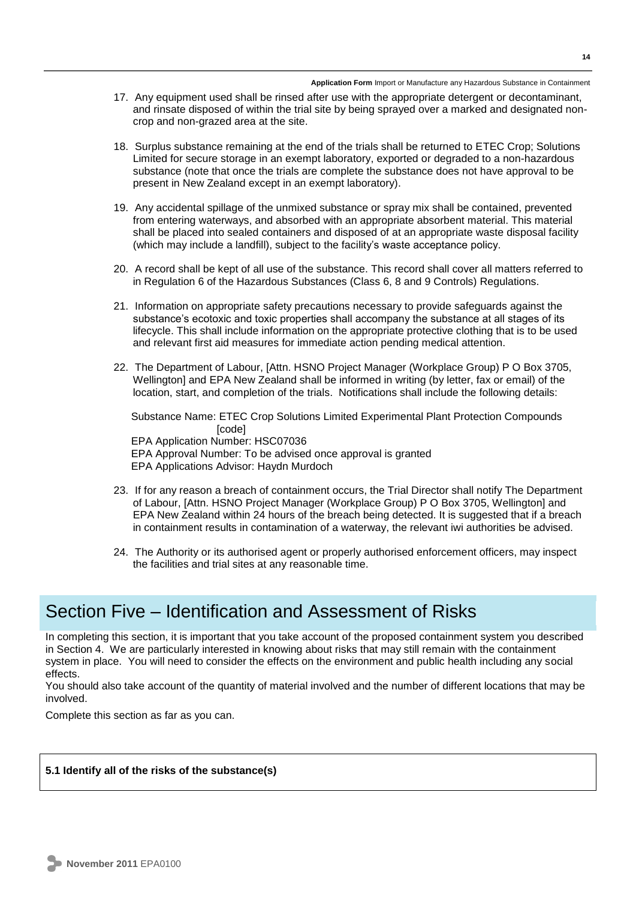- 17. Any equipment used shall be rinsed after use with the appropriate detergent or decontaminant, and rinsate disposed of within the trial site by being sprayed over a marked and designated noncrop and non-grazed area at the site.
- 18. Surplus substance remaining at the end of the trials shall be returned to ETEC Crop; Solutions Limited for secure storage in an exempt laboratory, exported or degraded to a non-hazardous substance (note that once the trials are complete the substance does not have approval to be present in New Zealand except in an exempt laboratory).
- 19. Any accidental spillage of the unmixed substance or spray mix shall be contained, prevented from entering waterways, and absorbed with an appropriate absorbent material. This material shall be placed into sealed containers and disposed of at an appropriate waste disposal facility (which may include a landfill), subject to the facility's waste acceptance policy.
- 20. A record shall be kept of all use of the substance. This record shall cover all matters referred to in Regulation 6 of the Hazardous Substances (Class 6, 8 and 9 Controls) Regulations.
- 21. Information on appropriate safety precautions necessary to provide safeguards against the substance's ecotoxic and toxic properties shall accompany the substance at all stages of its lifecycle. This shall include information on the appropriate protective clothing that is to be used and relevant first aid measures for immediate action pending medical attention.
- 22. The Department of Labour, [Attn. HSNO Project Manager (Workplace Group) P O Box 3705, Wellington] and EPA New Zealand shall be informed in writing (by letter, fax or email) of the location, start, and completion of the trials. Notifications shall include the following details:

Substance Name: ETEC Crop Solutions Limited Experimental Plant Protection Compounds [code] EPA Application Number: HSC07036

EPA Approval Number: To be advised once approval is granted EPA Applications Advisor: Haydn Murdoch

- 23. If for any reason a breach of containment occurs, the Trial Director shall notify The Department of Labour, [Attn. HSNO Project Manager (Workplace Group) P O Box 3705, Wellington] and EPA New Zealand within 24 hours of the breach being detected. It is suggested that if a breach in containment results in contamination of a waterway, the relevant iwi authorities be advised.
- 24. The Authority or its authorised agent or properly authorised enforcement officers, may inspect the facilities and trial sites at any reasonable time.

## Section Five – Identification and Assessment of Risks

In completing this section, it is important that you take account of the proposed containment system you described in Section 4. We are particularly interested in knowing about risks that may still remain with the containment system in place. You will need to consider the effects on the environment and public health including any social effects.

You should also take account of the quantity of material involved and the number of different locations that may be involved.

Complete this section as far as you can.

## **5.1 Identify all of the risks of the substance(s)**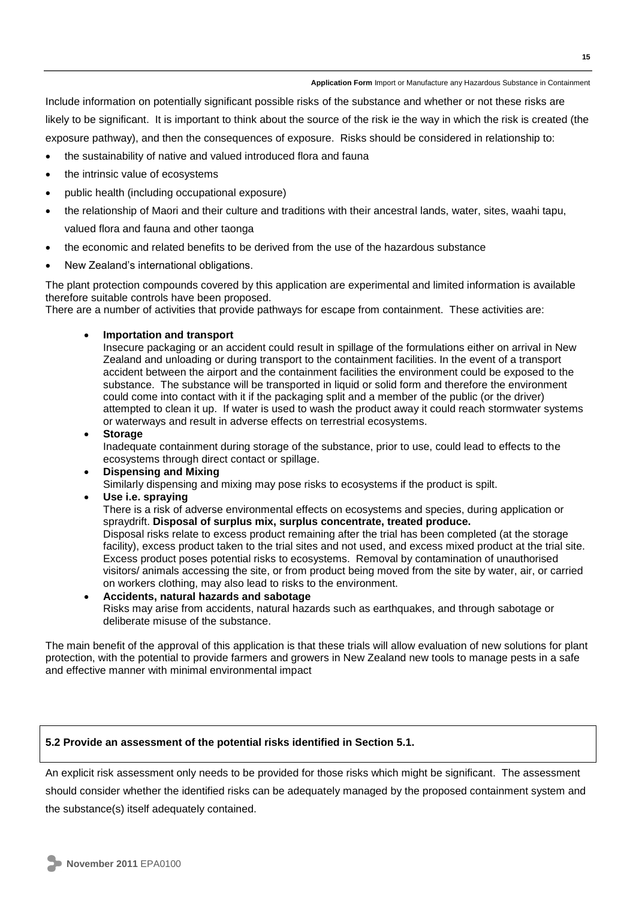Include information on potentially significant possible risks of the substance and whether or not these risks are likely to be significant. It is important to think about the source of the risk ie the way in which the risk is created (the exposure pathway), and then the consequences of exposure. Risks should be considered in relationship to:

- the sustainability of native and valued introduced flora and fauna
- the intrinsic value of ecosystems
- public health (including occupational exposure)
- the relationship of Maori and their culture and traditions with their ancestral lands, water, sites, waahi tapu, valued flora and fauna and other taonga
- the economic and related benefits to be derived from the use of the hazardous substance
- New Zealand's international obligations.

The plant protection compounds covered by this application are experimental and limited information is available therefore suitable controls have been proposed.

There are a number of activities that provide pathways for escape from containment. These activities are:

**Importation and transport**

Insecure packaging or an accident could result in spillage of the formulations either on arrival in New Zealand and unloading or during transport to the containment facilities. In the event of a transport accident between the airport and the containment facilities the environment could be exposed to the substance. The substance will be transported in liquid or solid form and therefore the environment could come into contact with it if the packaging split and a member of the public (or the driver) attempted to clean it up. If water is used to wash the product away it could reach stormwater systems or waterways and result in adverse effects on terrestrial ecosystems.

### **Storage**

Inadequate containment during storage of the substance, prior to use, could lead to effects to the ecosystems through direct contact or spillage.

**Dispensing and Mixing**

Similarly dispensing and mixing may pose risks to ecosystems if the product is spilt.

**Use i.e. spraying**

There is a risk of adverse environmental effects on ecosystems and species, during application or spraydrift. **Disposal of surplus mix, surplus concentrate, treated produce.** Disposal risks relate to excess product remaining after the trial has been completed (at the storage

facility), excess product taken to the trial sites and not used, and excess mixed product at the trial site. Excess product poses potential risks to ecosystems. Removal by contamination of unauthorised visitors/ animals accessing the site, or from product being moved from the site by water, air, or carried on workers clothing, may also lead to risks to the environment.

 **Accidents, natural hazards and sabotage** Risks may arise from accidents, natural hazards such as earthquakes, and through sabotage or deliberate misuse of the substance.

The main benefit of the approval of this application is that these trials will allow evaluation of new solutions for plant protection, with the potential to provide farmers and growers in New Zealand new tools to manage pests in a safe and effective manner with minimal environmental impact

### **5.2 Provide an assessment of the potential risks identified in Section 5.1.**

An explicit risk assessment only needs to be provided for those risks which might be significant. The assessment should consider whether the identified risks can be adequately managed by the proposed containment system and the substance(s) itself adequately contained.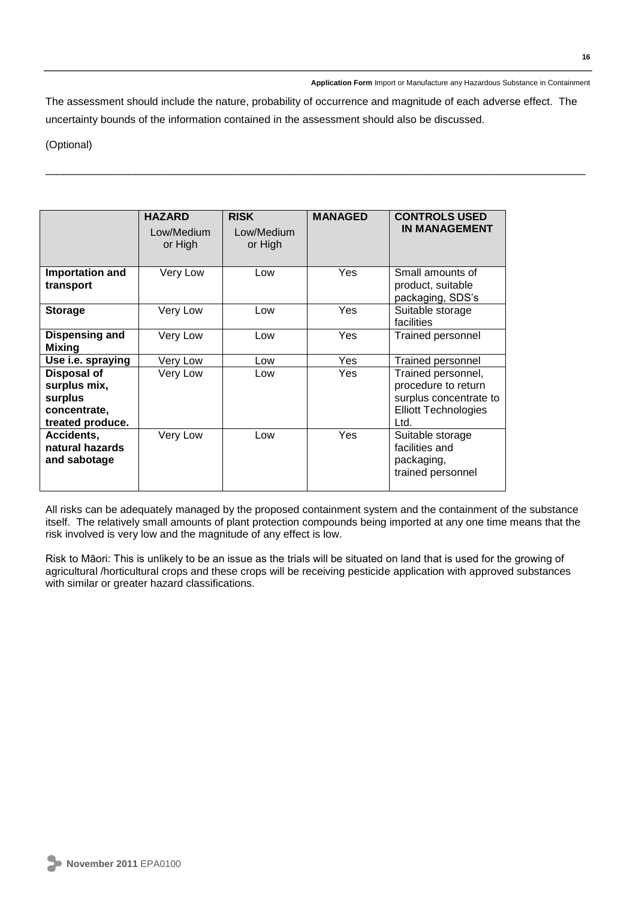The assessment should include the nature, probability of occurrence and magnitude of each adverse effect. The uncertainty bounds of the information contained in the assessment should also be discussed.

\_\_\_\_\_\_\_\_\_\_\_\_\_\_\_\_\_\_\_\_\_\_\_\_\_\_\_\_\_\_\_\_\_\_\_\_\_\_\_\_\_\_\_\_\_\_\_\_\_\_\_\_\_\_\_\_\_\_\_\_\_\_\_\_\_\_\_\_\_\_\_\_\_\_\_\_\_\_\_\_\_\_\_\_\_\_\_\_\_\_\_

(Optional)

|                                                                                   | <b>HAZARD</b><br>Low/Medium<br>or High | <b>RISK</b><br>Low/Medium<br>or High | <b>MANAGED</b> | <b>CONTROLS USED</b><br><b>IN MANAGEMENT</b>                                                               |
|-----------------------------------------------------------------------------------|----------------------------------------|--------------------------------------|----------------|------------------------------------------------------------------------------------------------------------|
| Importation and<br>transport                                                      | Very Low                               | Low                                  | Yes.           | Small amounts of<br>product, suitable<br>packaging, SDS's                                                  |
| <b>Storage</b>                                                                    | Very Low                               | Low                                  | Yes            | Suitable storage<br>facilities                                                                             |
| Dispensing and<br>Mixing                                                          | Very Low                               | Low                                  | Yes            | Trained personnel                                                                                          |
| Use i.e. spraying                                                                 | Very Low                               | Low                                  | Yes.           | Trained personnel                                                                                          |
| <b>Disposal of</b><br>surplus mix,<br>surplus<br>concentrate,<br>treated produce. | Very Low                               | Low                                  | Yes            | Trained personnel,<br>procedure to return<br>surplus concentrate to<br><b>Elliott Technologies</b><br>Ltd. |
| Accidents,<br>natural hazards<br>and sabotage                                     | Very Low                               | Low                                  | Yes            | Suitable storage<br>facilities and<br>packaging,<br>trained personnel                                      |

All risks can be adequately managed by the proposed containment system and the containment of the substance itself. The relatively small amounts of plant protection compounds being imported at any one time means that the risk involved is very low and the magnitude of any effect is low.

Risk to Māori: This is unlikely to be an issue as the trials will be situated on land that is used for the growing of agricultural /horticultural crops and these crops will be receiving pesticide application with approved substances with similar or greater hazard classifications.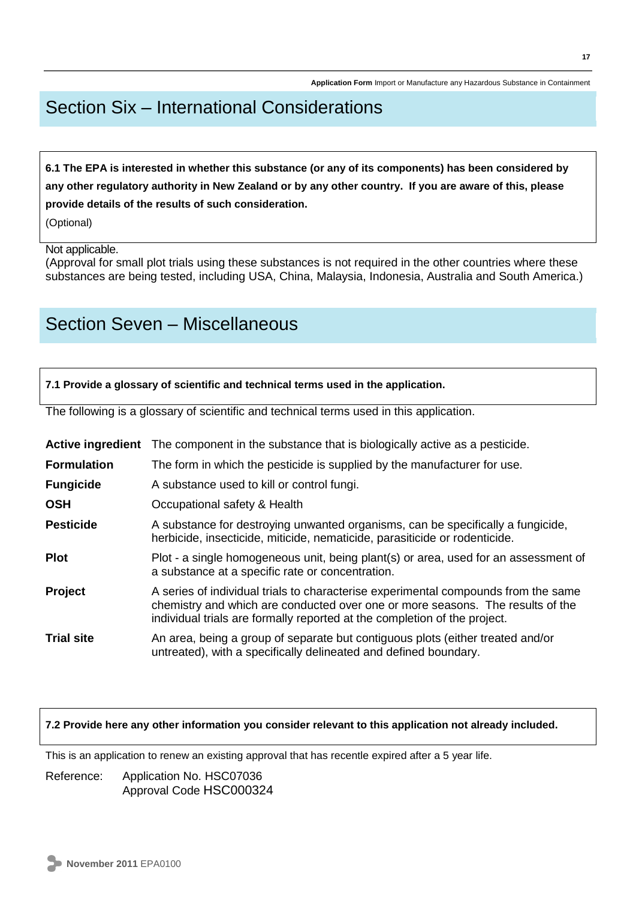## Section Six – International Considerations

**6.1 The EPA is interested in whether this substance (or any of its components) has been considered by any other regulatory authority in New Zealand or by any other country. If you are aware of this, please provide details of the results of such consideration.** 

(Optional)

Not applicable.

(Approval for small plot trials using these substances is not required in the other countries where these substances are being tested, including USA, China, Malaysia, Indonesia, Australia and South America.)

## Section Seven – Miscellaneous

### **7.1 Provide a glossary of scientific and technical terms used in the application.**

The following is a glossary of scientific and technical terms used in this application.

|                    | Active ingredient The component in the substance that is biologically active as a pesticide.                                                                                                                                                      |
|--------------------|---------------------------------------------------------------------------------------------------------------------------------------------------------------------------------------------------------------------------------------------------|
| <b>Formulation</b> | The form in which the pesticide is supplied by the manufacturer for use.                                                                                                                                                                          |
| <b>Fungicide</b>   | A substance used to kill or control fungi.                                                                                                                                                                                                        |
| <b>OSH</b>         | Occupational safety & Health                                                                                                                                                                                                                      |
| <b>Pesticide</b>   | A substance for destroying unwanted organisms, can be specifically a fungicide,<br>herbicide, insecticide, miticide, nematicide, parasiticide or rodenticide.                                                                                     |
| <b>Plot</b>        | Plot - a single homogeneous unit, being plant(s) or area, used for an assessment of<br>a substance at a specific rate or concentration.                                                                                                           |
| <b>Project</b>     | A series of individual trials to characterise experimental compounds from the same<br>chemistry and which are conducted over one or more seasons. The results of the<br>individual trials are formally reported at the completion of the project. |
| <b>Trial site</b>  | An area, being a group of separate but contiguous plots (either treated and/or<br>untreated), with a specifically delineated and defined boundary.                                                                                                |

**7.2 Provide here any other information you consider relevant to this application not already included.**

This is an application to renew an existing approval that has recentle expired after a 5 year life.

Reference: Application No. HSC07036 Approval Code HSC000324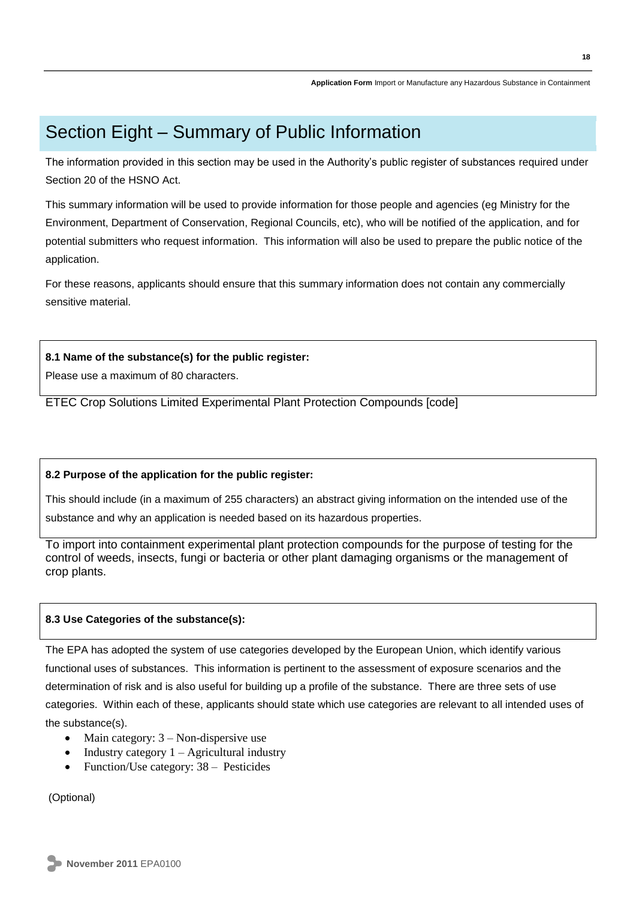## Section Eight – Summary of Public Information

The information provided in this section may be used in the Authority's public register of substances required under Section 20 of the HSNO Act.

This summary information will be used to provide information for those people and agencies (eg Ministry for the Environment, Department of Conservation, Regional Councils, etc), who will be notified of the application, and for potential submitters who request information. This information will also be used to prepare the public notice of the application.

For these reasons, applicants should ensure that this summary information does not contain any commercially sensitive material.

### **8.1 Name of the substance(s) for the public register:**

Please use a maximum of 80 characters.

ETEC Crop Solutions Limited Experimental Plant Protection Compounds [code]

## **8.2 Purpose of the application for the public register:**

This should include (in a maximum of 255 characters) an abstract giving information on the intended use of the substance and why an application is needed based on its hazardous properties.

To import into containment experimental plant protection compounds for the purpose of testing for the control of weeds, insects, fungi or bacteria or other plant damaging organisms or the management of crop plants.

### **8.3 Use Categories of the substance(s):**

The EPA has adopted the system of use categories developed by the European Union, which identify various functional uses of substances. This information is pertinent to the assessment of exposure scenarios and the determination of risk and is also useful for building up a profile of the substance. There are three sets of use categories. Within each of these, applicants should state which use categories are relevant to all intended uses of the substance(s).

- Main category:  $3 -$  Non-dispersive use
- Industry category  $1 -$  Agricultural industry
- Function/Use category: 38 Pesticides

(Optional)